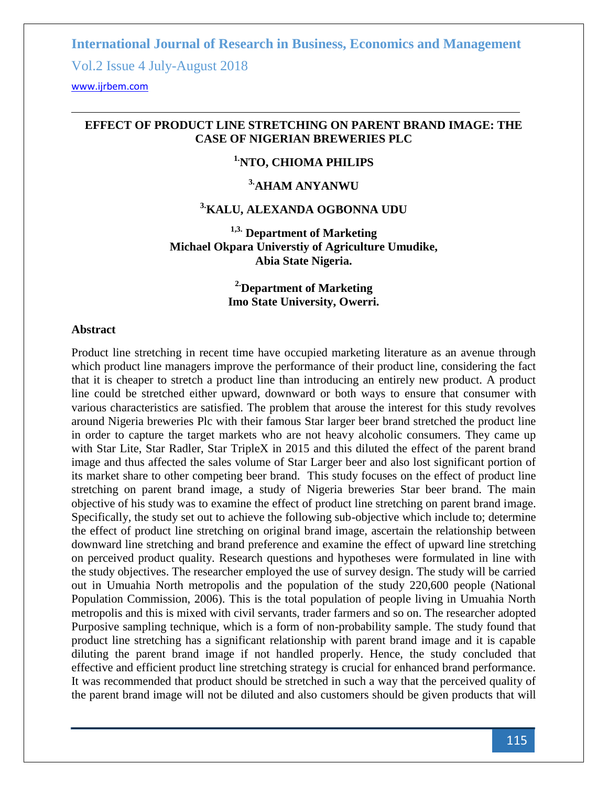Vol.2 Issue 4 July-August 2018

<www.ijrbem.com>

#### **EFFECT OF PRODUCT LINE STRETCHING ON PARENT BRAND IMAGE: THE CASE OF NIGERIAN BREWERIES PLC**

# **1.NTO, CHIOMA PHILIPS**

# **3.AHAM ANYANWU**

#### **3.KALU, ALEXANDA OGBONNA UDU**

**1,3. Department of Marketing Michael Okpara Universtiy of Agriculture Umudike, Abia State Nigeria.**

> **2.Department of Marketing Imo State University, Owerri.**

#### **Abstract**

Product line stretching in recent time have occupied marketing literature as an avenue through which product line managers improve the performance of their product line, considering the fact that it is cheaper to stretch a product line than introducing an entirely new product. A product line could be stretched either upward, downward or both ways to ensure that consumer with various characteristics are satisfied. The problem that arouse the interest for this study revolves around Nigeria breweries Plc with their famous Star larger beer brand stretched the product line in order to capture the target markets who are not heavy alcoholic consumers. They came up with Star Lite, Star Radler, Star TripleX in 2015 and this diluted the effect of the parent brand image and thus affected the sales volume of Star Larger beer and also lost significant portion of its market share to other competing beer brand. This study focuses on the effect of product line stretching on parent brand image, a study of Nigeria breweries Star beer brand. The main objective of his study was to examine the effect of product line stretching on parent brand image. Specifically, the study set out to achieve the following sub-objective which include to; determine the effect of product line stretching on original brand image, ascertain the relationship between downward line stretching and brand preference and examine the effect of upward line stretching on perceived product quality. Research questions and hypotheses were formulated in line with the study objectives. The researcher employed the use of survey design. The study will be carried out in Umuahia North metropolis and the population of the study 220,600 people (National Population Commission, 2006). This is the total population of people living in Umuahia North metropolis and this is mixed with civil servants, trader farmers and so on. The researcher adopted Purposive sampling technique, which is a form of non-probability sample. The study found that product line stretching has a significant relationship with parent brand image and it is capable diluting the parent brand image if not handled properly. Hence, the study concluded that effective and efficient product line stretching strategy is crucial for enhanced brand performance. It was recommended that product should be stretched in such a way that the perceived quality of the parent brand image will not be diluted and also customers should be given products that will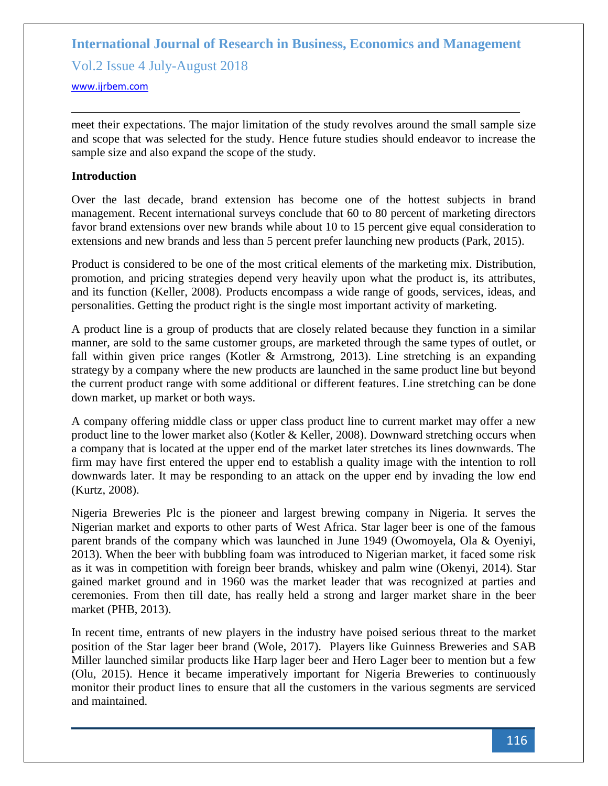Vol.2 Issue 4 July-August 2018

<www.ijrbem.com>

meet their expectations. The major limitation of the study revolves around the small sample size and scope that was selected for the study. Hence future studies should endeavor to increase the sample size and also expand the scope of the study.

#### **Introduction**

Over the last decade, brand extension has become one of the hottest subjects in brand management. Recent international surveys conclude that 60 to 80 percent of marketing directors favor brand extensions over new brands while about 10 to 15 percent give equal consideration to extensions and new brands and less than 5 percent prefer launching new products (Park, 2015).

Product is considered to be one of the most critical elements of the marketing mix. Distribution, promotion, and pricing strategies depend very heavily upon what the product is, its attributes, and its function (Keller, 2008). Products encompass a wide range of goods, services, ideas, and personalities. Getting the product right is the single most important activity of marketing.

A product line is a group of products that are closely related because they function in a similar manner, are sold to the same customer groups, are marketed through the same types of outlet, or fall within given price ranges (Kotler & Armstrong, 2013). Line stretching is an expanding strategy by a company where the new products are launched in the same product line but beyond the current product range with some additional or different features. Line stretching can be done down market, up market or both ways.

A company offering middle class or upper class product line to current market may offer a new product line to the lower market also (Kotler & Keller, 2008). Downward stretching occurs when a company that is located at the upper end of the market later stretches its lines downwards. The firm may have first entered the upper end to establish a quality image with the intention to roll downwards later. It may be responding to an attack on the upper end by invading the low end (Kurtz, 2008).

Nigeria Breweries Plc is the pioneer and largest brewing company in Nigeria. It serves the Nigerian market and exports to other parts of West Africa. Star lager beer is one of the famous parent brands of the company which was launched in June 1949 (Owomoyela, Ola & Oyeniyi, 2013). When the beer with bubbling foam was introduced to Nigerian market, it faced some risk as it was in competition with foreign beer brands, whiskey and palm wine (Okenyi, 2014). Star gained market ground and in 1960 was the market leader that was recognized at parties and ceremonies. From then till date, has really held a strong and larger market share in the beer market (PHB, 2013).

In recent time, entrants of new players in the industry have poised serious threat to the market position of the Star lager beer brand (Wole, 2017). Players like Guinness Breweries and SAB Miller launched similar products like Harp lager beer and Hero Lager beer to mention but a few (Olu, 2015). Hence it became imperatively important for Nigeria Breweries to continuously monitor their product lines to ensure that all the customers in the various segments are serviced and maintained.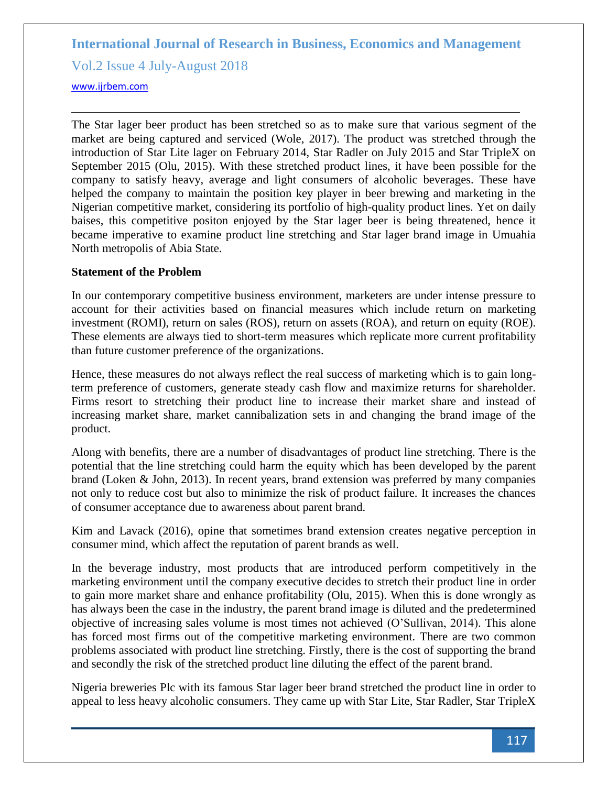Vol.2 Issue 4 July-August 2018

<www.ijrbem.com>

The Star lager beer product has been stretched so as to make sure that various segment of the market are being captured and serviced (Wole, 2017). The product was stretched through the introduction of Star Lite lager on February 2014, Star Radler on July 2015 and Star TripleX on September 2015 (Olu, 2015). With these stretched product lines, it have been possible for the company to satisfy heavy, average and light consumers of alcoholic beverages. These have helped the company to maintain the position key player in beer brewing and marketing in the Nigerian competitive market, considering its portfolio of high-quality product lines. Yet on daily baises, this competitive positon enjoyed by the Star lager beer is being threatened, hence it became imperative to examine product line stretching and Star lager brand image in Umuahia North metropolis of Abia State.

#### **Statement of the Problem**

In our contemporary competitive business environment, marketers are under intense pressure to account for their activities based on financial measures which include return on marketing investment (ROMI), return on sales (ROS), return on assets (ROA), and return on equity (ROE). These elements are always tied to short-term measures which replicate more current profitability than future customer preference of the organizations.

Hence, these measures do not always reflect the real success of marketing which is to gain longterm preference of customers, generate steady cash flow and maximize returns for shareholder. Firms resort to stretching their product line to increase their market share and instead of increasing market share, market cannibalization sets in and changing the brand image of the product.

Along with benefits, there are a number of disadvantages of product line stretching. There is the potential that the line stretching could harm the equity which has been developed by the parent brand (Loken & John, 2013). In recent years, brand extension was preferred by many companies not only to reduce cost but also to minimize the risk of product failure. It increases the chances of consumer acceptance due to awareness about parent brand.

Kim and Lavack (2016), opine that sometimes brand extension creates negative perception in consumer mind, which affect the reputation of parent brands as well.

In the beverage industry, most products that are introduced perform competitively in the marketing environment until the company executive decides to stretch their product line in order to gain more market share and enhance profitability (Olu, 2015). When this is done wrongly as has always been the case in the industry, the parent brand image is diluted and the predetermined objective of increasing sales volume is most times not achieved (O'Sullivan, 2014). This alone has forced most firms out of the competitive marketing environment. There are two common problems associated with product line stretching. Firstly, there is the cost of supporting the brand and secondly the risk of the stretched product line diluting the effect of the parent brand.

Nigeria breweries Plc with its famous Star lager beer brand stretched the product line in order to appeal to less heavy alcoholic consumers. They came up with Star Lite, Star Radler, Star TripleX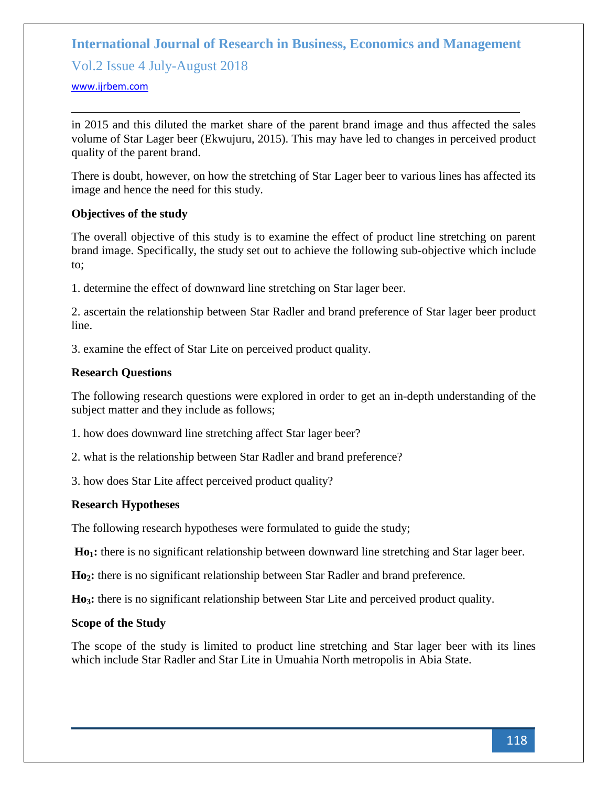Vol.2 Issue 4 July-August 2018

#### <www.ijrbem.com>

in 2015 and this diluted the market share of the parent brand image and thus affected the sales volume of Star Lager beer (Ekwujuru, 2015). This may have led to changes in perceived product quality of the parent brand.

There is doubt, however, on how the stretching of Star Lager beer to various lines has affected its image and hence the need for this study.

#### **Objectives of the study**

The overall objective of this study is to examine the effect of product line stretching on parent brand image. Specifically, the study set out to achieve the following sub-objective which include to;

1. determine the effect of downward line stretching on Star lager beer.

2. ascertain the relationship between Star Radler and brand preference of Star lager beer product line.

3. examine the effect of Star Lite on perceived product quality.

#### **Research Questions**

The following research questions were explored in order to get an in-depth understanding of the subject matter and they include as follows;

1. how does downward line stretching affect Star lager beer?

2. what is the relationship between Star Radler and brand preference?

3. how does Star Lite affect perceived product quality?

# **Research Hypotheses**

The following research hypotheses were formulated to guide the study;

**Ho1:** there is no significant relationship between downward line stretching and Star lager beer.

**Ho2:** there is no significant relationship between Star Radler and brand preference*.*

**Ho3:** there is no significant relationship between Star Lite and perceived product quality.

#### **Scope of the Study**

The scope of the study is limited to product line stretching and Star lager beer with its lines which include Star Radler and Star Lite in Umuahia North metropolis in Abia State.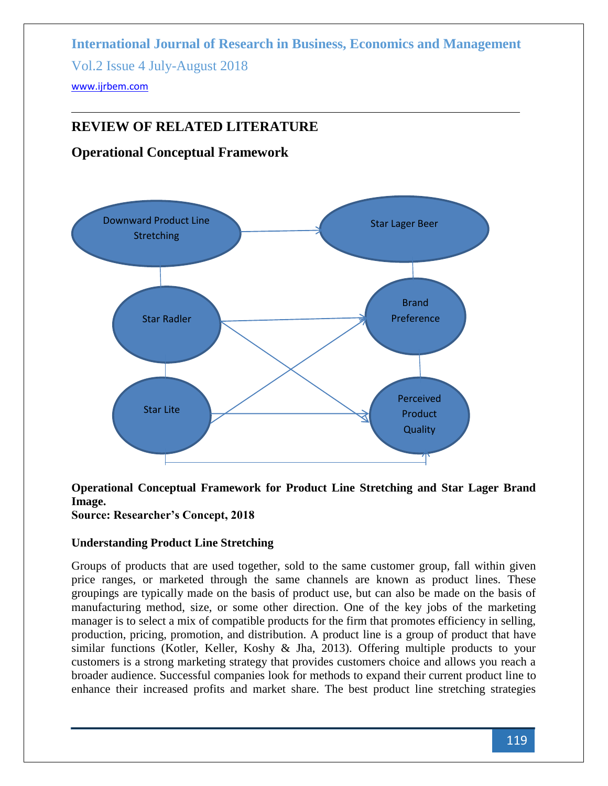**International Journal of Research in Business, Economics and Management**  Vol.2 Issue 4 July-August 2018 <www.ijrbem.com>

# **REVIEW OF RELATED LITERATURE**

# **Operational Conceptual Framework**



# **Operational Conceptual Framework for Product Line Stretching and Star Lager Brand Image.**

**Source: Researcher's Concept, 2018**

# **Understanding Product Line Stretching**

Groups of products that are used together, sold to the same customer group, fall within given price ranges, or marketed through the same channels are known as product lines. These groupings are typically made on the basis of product use, but can also be made on the basis of manufacturing method, size, or some other direction. One of the key jobs of the marketing manager is to select a mix of compatible products for the firm that promotes efficiency in selling, production, pricing, promotion, and distribution. A product line is a group of product that have similar functions (Kotler, Keller, Koshy & Jha, 2013). Offering multiple products to your customers is a strong marketing strategy that provides customers choice and allows you reach a broader audience. Successful companies look for methods to expand their current product line to enhance their increased profits and market share. The best product line stretching strategies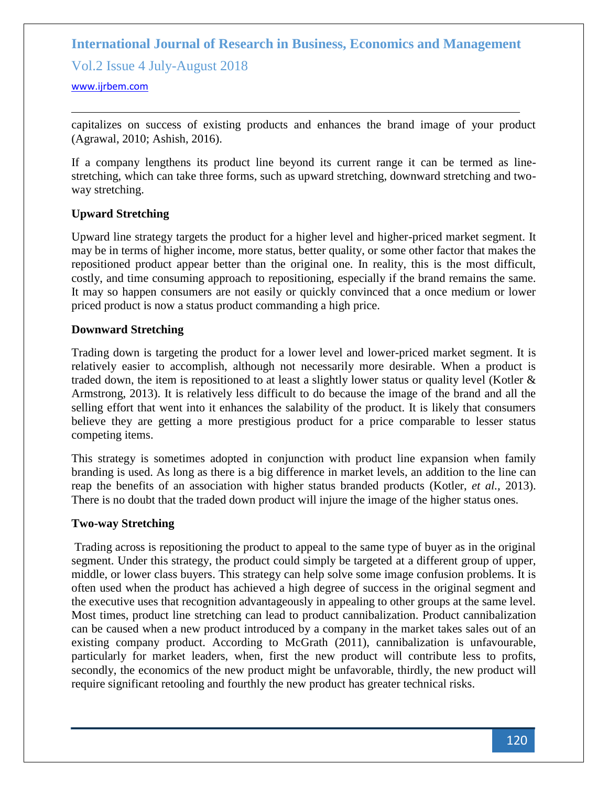Vol.2 Issue 4 July-August 2018

<www.ijrbem.com>

capitalizes on success of existing products and enhances the brand image of your product (Agrawal, 2010; Ashish, 2016).

If a company lengthens its product line beyond its current range it can be termed as linestretching, which can take three forms, such as upward stretching, downward stretching and twoway stretching.

# **Upward Stretching**

Upward line strategy targets the product for a higher level and higher-priced market segment. It may be in terms of higher income, more status, better quality, or some other factor that makes the repositioned product appear better than the original one. In reality, this is the most difficult, costly, and time consuming approach to repositioning, especially if the brand remains the same. It may so happen consumers are not easily or quickly convinced that a once medium or lower priced product is now a status product commanding a high price.

#### **Downward Stretching**

Trading down is targeting the product for a lower level and lower-priced market segment. It is relatively easier to accomplish, although not necessarily more desirable. When a product is traded down, the item is repositioned to at least a slightly lower status or quality level (Kotler  $\&$ Armstrong, 2013). It is relatively less difficult to do because the image of the brand and all the selling effort that went into it enhances the salability of the product. It is likely that consumers believe they are getting a more prestigious product for a price comparable to lesser status competing items.

This strategy is sometimes adopted in conjunction with product line expansion when family branding is used. As long as there is a big difference in market levels, an addition to the line can reap the benefits of an association with higher status branded products (Kotler, *et al.,* 2013). There is no doubt that the traded down product will injure the image of the higher status ones.

# **Two-way Stretching**

Trading across is repositioning the product to appeal to the same type of buyer as in the original segment. Under this strategy, the product could simply be targeted at a different group of upper, middle, or lower class buyers. This strategy can help solve some image confusion problems. It is often used when the product has achieved a high degree of success in the original segment and the executive uses that recognition advantageously in appealing to other groups at the same level. Most times, product line stretching can lead to product cannibalization. Product cannibalization can be caused when a new product introduced by a company in the market takes sales out of an existing company product. According to McGrath (2011), cannibalization is unfavourable, particularly for market leaders, when, first the new product will contribute less to profits, secondly, the economics of the new product might be unfavorable, thirdly, the new product will require significant retooling and fourthly the new product has greater technical risks.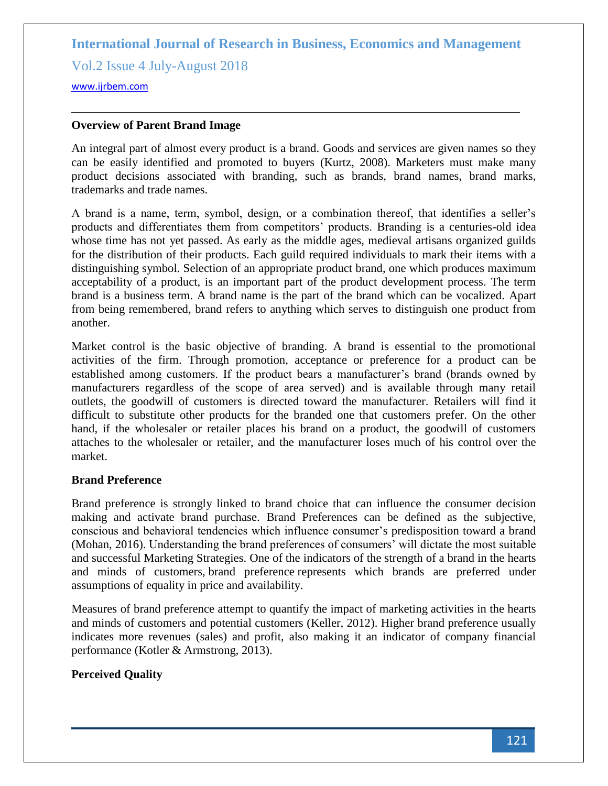Vol.2 Issue 4 July-August 2018

<www.ijrbem.com>

### **Overview of Parent Brand Image**

An integral part of almost every product is a brand. Goods and services are given names so they can be easily identified and promoted to buyers (Kurtz, 2008). Marketers must make many product decisions associated with branding, such as brands, brand names, brand marks, trademarks and trade names.

A brand is a name, term, symbol, design, or a combination thereof, that identifies a seller's products and differentiates them from competitors' products. Branding is a centuries-old idea whose time has not yet passed. As early as the middle ages, medieval artisans organized guilds for the distribution of their products. Each guild required individuals to mark their items with a distinguishing symbol. Selection of an appropriate product brand, one which produces maximum acceptability of a product, is an important part of the product development process. The term brand is a business term. A brand name is the part of the brand which can be vocalized. Apart from being remembered, brand refers to anything which serves to distinguish one product from another.

Market control is the basic objective of branding. A brand is essential to the promotional activities of the firm. Through promotion, acceptance or preference for a product can be established among customers. If the product bears a manufacturer's brand (brands owned by manufacturers regardless of the scope of area served) and is available through many retail outlets, the goodwill of customers is directed toward the manufacturer. Retailers will find it difficult to substitute other products for the branded one that customers prefer. On the other hand, if the wholesaler or retailer places his brand on a product, the goodwill of customers attaches to the wholesaler or retailer, and the manufacturer loses much of his control over the market.

#### **Brand Preference**

Brand preference is strongly linked to brand choice that can influence the consumer decision making and activate brand purchase. Brand Preferences can be defined as the subjective, conscious and behavioral tendencies which influence consumer's predisposition toward a brand (Mohan, 2016). Understanding the brand preferences of consumers' will dictate the most suitable and successful Marketing Strategies. One of the indicators of the strength of a [brand](https://en.wikipedia.org/wiki/Brand) in the hearts and minds of customers, brand preference represents which brands are preferred under assumptions of equality in price and availability.

Measures of brand preference attempt to quantify the impact of [marketing](https://en.wikipedia.org/wiki/Marketing) activities in the hearts and minds of customers and potential customers (Keller, 2012). Higher brand preference usually indicates more revenues (sales) and profit, also making it an indicator of company financial performance (Kotler & Armstrong, 2013).

# **Perceived Quality**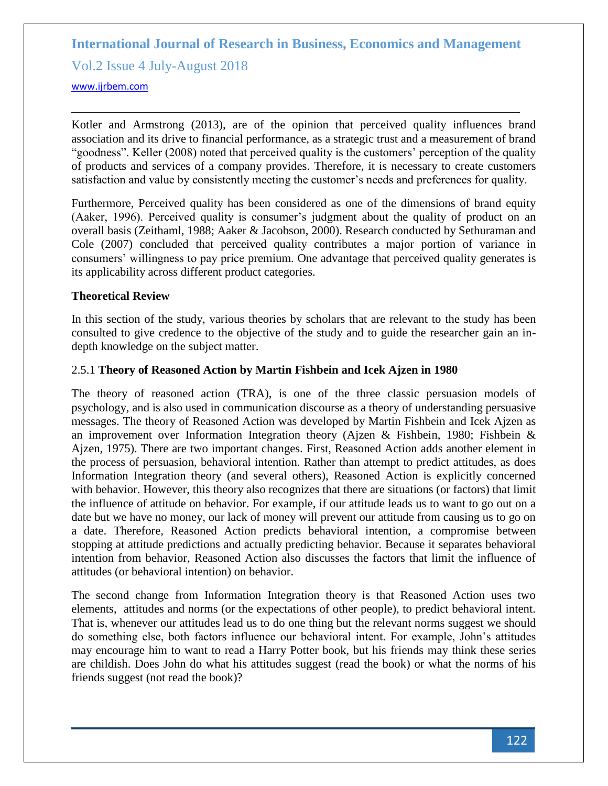Vol.2 Issue 4 July-August 2018

#### <www.ijrbem.com>

Kotler and Armstrong (2013), are of the opinion that perceived quality influences brand association and its drive to financial performance, as a strategic trust and a measurement of brand "goodness". Keller (2008) noted that perceived quality is the customers' perception of the quality of products and services of a company provides. Therefore, it is necessary to create customers satisfaction and value by consistently meeting the customer's needs and preferences for quality.

Furthermore, Perceived quality has been considered as one of the dimensions of brand equity (Aaker, 1996). Perceived quality is consumer's judgment about the quality of product on an overall basis (Zeithaml, 1988; Aaker & Jacobson, 2000). Research conducted by Sethuraman and Cole (2007) concluded that perceived quality contributes a major portion of variance in consumers' willingness to pay price premium. One advantage that perceived quality generates is its applicability across different product categories.

#### **Theoretical Review**

In this section of the study, various theories by scholars that are relevant to the study has been consulted to give credence to the objective of the study and to guide the researcher gain an indepth knowledge on the subject matter.

#### 2.5.1 **Theory of Reasoned Action by Martin Fishbein and Icek Ajzen in 1980**

The theory of reasoned action (TRA), is one of the three classic persuasion models of psychology, and is also used in communication discourse as a theory of understanding persuasive messages. The theory of Reasoned Action was developed by Martin Fishbein and Icek Ajzen as an improvement over Information Integration theory (Ajzen & Fishbein, 1980; Fishbein & Ajzen, 1975). There are two important changes. First, Reasoned Action adds another element in the process of persuasion, behavioral intention. Rather than attempt to predict attitudes, as does Information Integration theory (and several others), Reasoned Action is explicitly concerned with behavior. However, this theory also recognizes that there are situations (or factors) that limit the influence of attitude on behavior. For example, if our attitude leads us to want to go out on a date but we have no money, our lack of money will prevent our attitude from causing us to go on a date. Therefore, Reasoned Action predicts behavioral intention, a compromise between stopping at attitude predictions and actually predicting behavior. Because it separates behavioral intention from behavior, Reasoned Action also discusses the factors that limit the influence of attitudes (or behavioral intention) on behavior.

The second change from Information Integration theory is that Reasoned Action uses two elements, attitudes and norms (or the expectations of other people), to predict behavioral intent. That is, whenever our attitudes lead us to do one thing but the relevant norms suggest we should do something else, both factors influence our behavioral intent. For example, John's attitudes may encourage him to want to read a Harry Potter book, but his friends may think these series are childish. Does John do what his attitudes suggest (read the book) or what the norms of his friends suggest (not read the book)?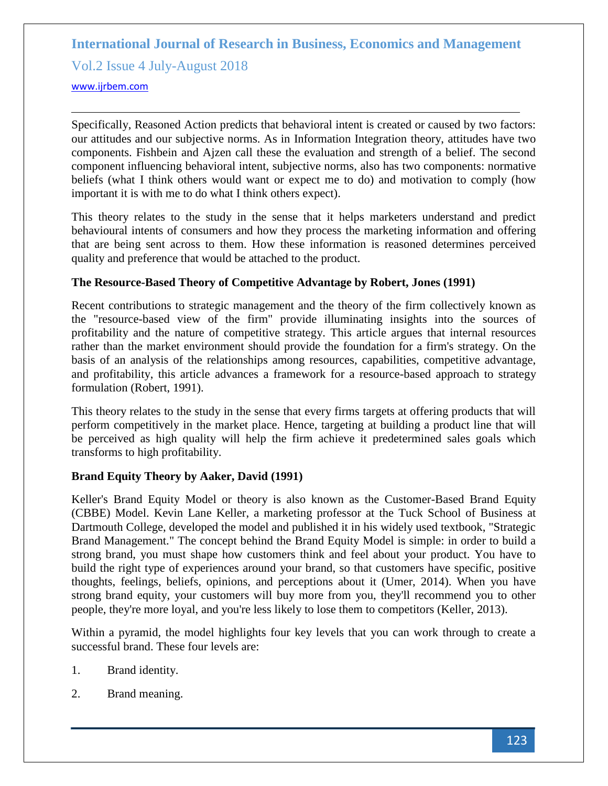Vol.2 Issue 4 July-August 2018

<www.ijrbem.com>

Specifically, Reasoned Action predicts that behavioral intent is created or caused by two factors: our attitudes and our subjective norms. As in Information Integration theory, attitudes have two components. Fishbein and Ajzen call these the evaluation and strength of a belief. The second component influencing behavioral intent, subjective norms, also has two components: normative beliefs (what I think others would want or expect me to do) and motivation to comply (how important it is with me to do what I think others expect).

This theory relates to the study in the sense that it helps marketers understand and predict behavioural intents of consumers and how they process the marketing information and offering that are being sent across to them. How these information is reasoned determines perceived quality and preference that would be attached to the product.

# **The Resource-Based Theory of Competitive Advantage by Robert, Jones (1991)**

Recent contributions to strategic management and the theory of the firm collectively known as the "resource-based view of the firm" provide illuminating insights into the sources of profitability and the nature of competitive strategy. This article argues that internal resources rather than the market environment should provide the foundation for a firm's strategy. On the basis of an analysis of the relationships among resources, capabilities, competitive advantage, and profitability, this article advances a framework for a resource-based approach to strategy formulation (Robert, 1991).

This theory relates to the study in the sense that every firms targets at offering products that will perform competitively in the market place. Hence, targeting at building a product line that will be perceived as high quality will help the firm achieve it predetermined sales goals which transforms to high profitability.

# **Brand Equity Theory by Aaker, David (1991)**

Keller's Brand Equity Model or theory is also known as the Customer-Based Brand Equity (CBBE) Model. Kevin Lane Keller, a marketing professor at the Tuck School of Business at Dartmouth College, developed the model and published it in his widely used textbook, "Strategic Brand Management." The concept behind the Brand Equity Model is simple: in order to build a strong brand, you must shape how customers think and feel about your product. You have to build the right type of experiences around your brand, so that customers have specific, positive thoughts, feelings, beliefs, opinions, and perceptions about it (Umer, 2014). When you have strong brand equity, your customers will buy more from you, they'll recommend you to other people, they're more loyal, and you're less likely to lose them to competitors (Keller, 2013).

Within a pyramid, the model highlights four key levels that you can work through to create a successful brand. These four levels are:

- 1. Brand identity.
- 2. Brand meaning.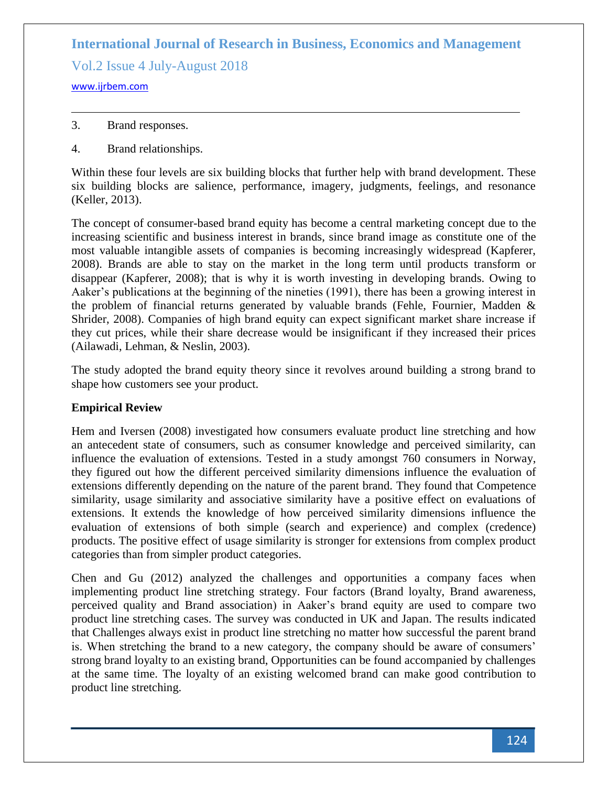Vol.2 Issue 4 July-August 2018

<www.ijrbem.com>

- 3. Brand responses.
- 4. Brand relationships.

Within these four levels are six building blocks that further help with brand development. These six building blocks are salience, performance, imagery, judgments, feelings, and resonance (Keller, 2013).

The concept of consumer-based brand equity has become a central marketing concept due to the increasing scientific and business interest in brands, since brand image as constitute one of the most valuable intangible assets of companies is becoming increasingly widespread (Kapferer, 2008). Brands are able to stay on the market in the long term until products transform or disappear (Kapferer, 2008); that is why it is worth investing in developing brands. Owing to Aaker's publications at the beginning of the nineties (1991), there has been a growing interest in the problem of financial returns generated by valuable brands (Fehle, Fournier, Madden & Shrider, 2008). Companies of high brand equity can expect significant market share increase if they cut prices, while their share decrease would be insignificant if they increased their prices (Ailawadi, Lehman, & Neslin, 2003).

The study adopted the brand equity theory since it revolves around building a strong brand to shape how customers see your product.

# **Empirical Review**

Hem and Iversen (2008) investigated how consumers evaluate product line stretching and how an antecedent state of consumers, such as consumer knowledge and perceived similarity, can influence the evaluation of extensions. Tested in a study amongst 760 consumers in Norway, they figured out how the different perceived similarity dimensions influence the evaluation of extensions differently depending on the nature of the parent brand. They found that Competence similarity, usage similarity and associative similarity have a positive effect on evaluations of extensions. It extends the knowledge of how perceived similarity dimensions influence the evaluation of extensions of both simple (search and experience) and complex (credence) products. The positive effect of usage similarity is stronger for extensions from complex product categories than from simpler product categories.

Chen and Gu (2012) analyzed the challenges and opportunities a company faces when implementing product line stretching strategy. Four factors (Brand loyalty, Brand awareness, perceived quality and Brand association) in Aaker's brand equity are used to compare two product line stretching cases. The survey was conducted in UK and Japan. The results indicated that Challenges always exist in product line stretching no matter how successful the parent brand is. When stretching the brand to a new category, the company should be aware of consumers' strong brand loyalty to an existing brand, Opportunities can be found accompanied by challenges at the same time. The loyalty of an existing welcomed brand can make good contribution to product line stretching.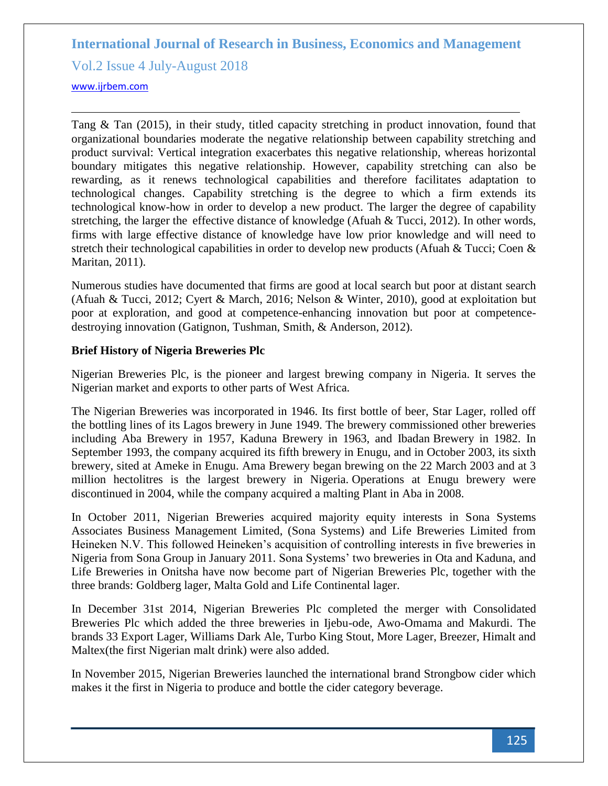Vol.2 Issue 4 July-August 2018

<www.ijrbem.com>

Tang & Tan (2015), in their study, titled capacity stretching in product innovation, found that organizational boundaries moderate the negative relationship between capability stretching and product survival: Vertical integration exacerbates this negative relationship, whereas horizontal boundary mitigates this negative relationship. However, capability stretching can also be rewarding, as it renews technological capabilities and therefore facilitates adaptation to technological changes. Capability stretching is the degree to which a firm extends its technological know-how in order to develop a new product. The larger the degree of capability stretching, the larger the effective distance of knowledge (Afuah & Tucci, 2012). In other words, firms with large effective distance of knowledge have low prior knowledge and will need to stretch their technological capabilities in order to develop new products (Afuah & Tucci; Coen & Maritan, 2011).

Numerous studies have documented that firms are good at local search but poor at distant search (Afuah & Tucci, 2012; Cyert & March, 2016; Nelson & Winter, 2010), good at exploitation but poor at exploration, and good at competence-enhancing innovation but poor at competencedestroying innovation (Gatignon, Tushman, Smith, & Anderson, 2012).

#### **Brief History of Nigeria Breweries Plc**

Nigerian Breweries Plc, is the pioneer and largest brewing company in Nigeria. It serves the Nigerian market and exports to other parts of West Africa.

The Nigerian Breweries was incorporated in 1946. Its first bottle of beer, Star Lager, rolled off the bottling lines of its Lagos brewery in June 1949. The brewery commissioned other breweries including Aba Brewery in 1957, Kaduna Brewery in 1963, and Ibadan Brewery in 1982. In September 1993, the company acquired its fifth brewery in Enugu, and in October 2003, its sixth brewery, sited at Ameke in Enugu. Ama Brewery began brewing on the 22 March 2003 and at 3 million hectolitres is the largest brewery in Nigeria. Operations at Enugu brewery were discontinued in 2004, while the company acquired a malting Plant in Aba in 2008.

In October 2011, Nigerian Breweries acquired majority equity interests in Sona Systems Associates Business Management Limited, (Sona Systems) and Life Breweries Limited from Heineken N.V. This followed Heineken's acquisition of controlling interests in five breweries in Nigeria from Sona Group in January 2011. Sona Systems' two breweries in Ota and Kaduna, and Life Breweries in Onitsha have now become part of Nigerian Breweries Plc, together with the three brands: Goldberg lager, Malta Gold and Life Continental lager.

In December 31st 2014, Nigerian Breweries Plc completed the merger with Consolidated Breweries Plc which added the three breweries in Ijebu-ode, Awo-Omama and Makurdi. The brands 33 Export Lager, Williams Dark Ale, Turbo King Stout, More Lager, Breezer, Himalt and Maltex(the first Nigerian malt drink) were also added.

In November 2015, Nigerian Breweries launched the international brand Strongbow cider which makes it the first in Nigeria to produce and bottle the cider category beverage.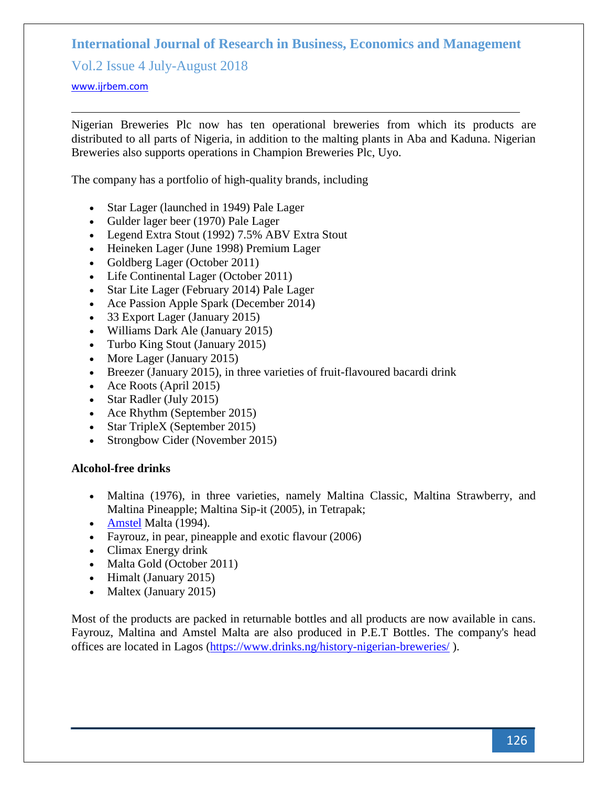Vol.2 Issue 4 July-August 2018

#### <www.ijrbem.com>

Nigerian Breweries Plc now has ten operational breweries from which its products are distributed to all parts of Nigeria, in addition to the malting plants in Aba and Kaduna. Nigerian Breweries also supports operations in Champion Breweries Plc, Uyo.

The company has a portfolio of high-quality [brands,](https://en.wikipedia.org/wiki/Brands) including

- Star Lager (launched in 1949) Pale Lager
- Gulder lager beer (1970) Pale Lager
- Legend Extra Stout (1992) 7.5% ABV Extra Stout
- [Heineken Lager](https://en.wikipedia.org/wiki/Heineken_Pilsener) (June 1998) Premium Lager
- Goldberg Lager (October 2011)
- Life Continental Lager (October 2011)
- Star Lite Lager (February 2014) Pale Lager
- Ace Passion Apple Spark (December 2014)
- 33 Export Lager (January 2015)
- Williams Dark Ale (January 2015)
- Turbo King Stout (January 2015)
- More Lager (January 2015)
- Breezer (January 2015), in three varieties of fruit-flavoured bacardi drink
- Ace Roots (April 2015)
- Star Radler (July 2015)
- Ace Rhythm (September 2015)
- Star TripleX (September 2015)
- [Strongbow Cider](https://en.wikipedia.org/wiki/Strongbow_(cider)) (November 2015)

#### **Alcohol-free drinks**

- Maltina (1976), in three varieties, namely Maltina Classic, Maltina Strawberry, and Maltina Pineapple; Maltina Sip-it (2005), in Tetrapak;
- **[Amstel](https://en.wikipedia.org/wiki/Amstel_(beer)) Malta (1994).**
- Fayrouz, in pear, pineapple and exotic flavour (2006)
- Climax Energy drink
- Malta Gold (October 2011)
- Himalt (January 2015)
- Maltex (January 2015)

Most of the products are packed in returnable bottles and all products are now available in cans. Fayrouz, Maltina and Amstel Malta are also produced in P.E.T Bottles. The company's head offices are located in Lagos [\(https://www.drinks.ng/history-nigerian-breweries/](https://www.drinks.ng/history-nigerian-breweries/) ).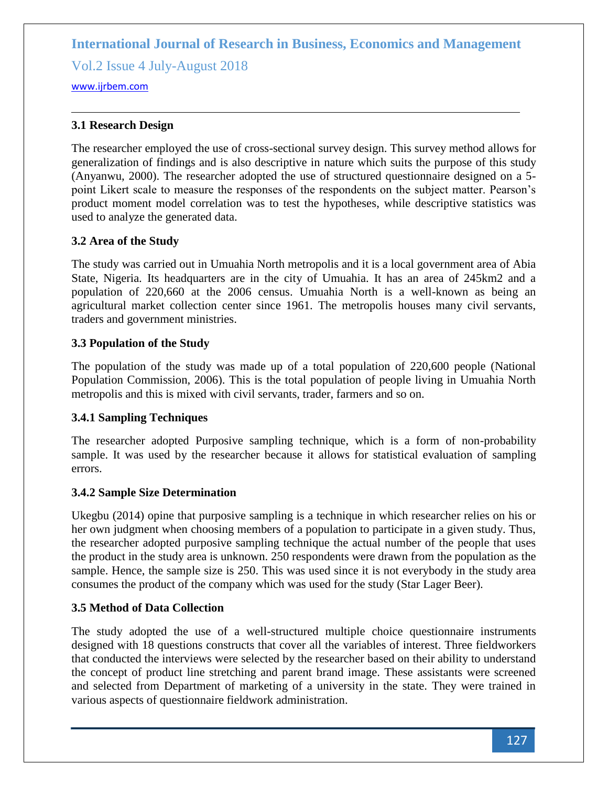Vol.2 Issue 4 July-August 2018

<www.ijrbem.com>

### **3.1 Research Design**

The researcher employed the use of cross-sectional survey design. This survey method allows for generalization of findings and is also descriptive in nature which suits the purpose of this study (Anyanwu, 2000). The researcher adopted the use of structured questionnaire designed on a 5 point Likert scale to measure the responses of the respondents on the subject matter. Pearson's product moment model correlation was to test the hypotheses, while descriptive statistics was used to analyze the generated data.

#### **3.2 Area of the Study**

The study was carried out in Umuahia North metropolis and it is a local government area of Abia State, Nigeria. Its headquarters are in the city of Umuahia. It has an area of 245km2 and a population of 220,660 at the 2006 census. Umuahia North is a well-known as being an agricultural market collection center since 1961. The metropolis houses many civil servants, traders and government ministries.

#### **3.3 Population of the Study**

The population of the study was made up of a total population of 220,600 people (National Population Commission, 2006). This is the total population of people living in Umuahia North metropolis and this is mixed with civil servants, trader, farmers and so on.

# **3.4.1 Sampling Techniques**

The researcher adopted Purposive sampling technique, which is a form of non-probability sample. It was used by the researcher because it allows for statistical evaluation of sampling errors.

#### **3.4.2 Sample Size Determination**

Ukegbu (2014) opine that purposive sampling is a technique in which researcher relies on his or her own judgment when choosing members of a population to participate in a given study. Thus, the researcher adopted purposive sampling technique the actual number of the people that uses the product in the study area is unknown. 250 respondents were drawn from the population as the sample. Hence, the sample size is 250. This was used since it is not everybody in the study area consumes the product of the company which was used for the study (Star Lager Beer).

# **3.5 Method of Data Collection**

The study adopted the use of a well-structured multiple choice questionnaire instruments designed with 18 questions constructs that cover all the variables of interest. Three fieldworkers that conducted the interviews were selected by the researcher based on their ability to understand the concept of product line stretching and parent brand image. These assistants were screened and selected from Department of marketing of a university in the state. They were trained in various aspects of questionnaire fieldwork administration.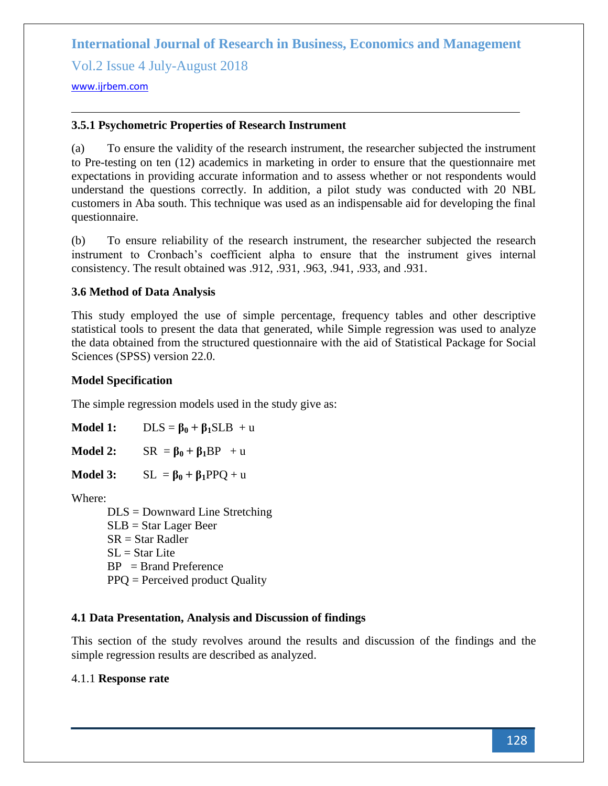Vol.2 Issue 4 July-August 2018

<www.ijrbem.com>

### **3.5.1 Psychometric Properties of Research Instrument**

(a) To ensure the validity of the research instrument, the researcher subjected the instrument to Pre-testing on ten (12) academics in marketing in order to ensure that the questionnaire met expectations in providing accurate information and to assess whether or not respondents would understand the questions correctly. In addition, a pilot study was conducted with 20 NBL customers in Aba south. This technique was used as an indispensable aid for developing the final questionnaire.

(b) To ensure reliability of the research instrument, the researcher subjected the research instrument to Cronbach's coefficient alpha to ensure that the instrument gives internal consistency. The result obtained was .912, .931, .963, .941, .933, and .931.

#### **3.6 Method of Data Analysis**

This study employed the use of simple percentage, frequency tables and other descriptive statistical tools to present the data that generated, while Simple regression was used to analyze the data obtained from the structured questionnaire with the aid of Statistical Package for Social Sciences (SPSS) version 22.0.

#### **Model Specification**

The simple regression models used in the study give as:

| <b>Model 1:</b> | $DLS = \beta_0 + \beta_1 SLB + u$ |
|-----------------|-----------------------------------|
| Model 2:        | $SR = \beta_0 + \beta_1 BP + u$   |

**Model 3:**  $SL = \beta_0 + \beta_1 PPQ + u$ 

Where:

DLS = Downward Line Stretching SLB = Star Lager Beer SR = Star Radler  $SL = Star$  Lite BP = Brand Preference PPQ = Perceived product Quality

# **4.1 Data Presentation, Analysis and Discussion of findings**

This section of the study revolves around the results and discussion of the findings and the simple regression results are described as analyzed.

# 4.1.1 **Response rate**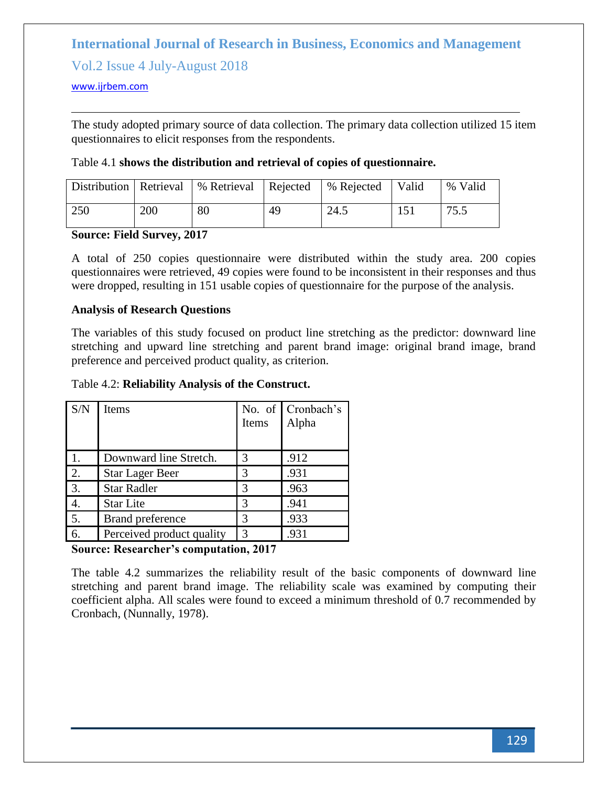Vol.2 Issue 4 July-August 2018

#### <www.ijrbem.com>

The study adopted primary source of data collection. The primary data collection utilized 15 item questionnaires to elicit responses from the respondents.

#### Table 4.1 **shows the distribution and retrieval of copies of questionnaire.**

|     |     | Distribution   Retrieval   % Retrieval   Rejected |    | ∣% Rejected | Valid | % Valid |
|-----|-----|---------------------------------------------------|----|-------------|-------|---------|
| 250 | 200 | 80                                                | 49 | 24.5        |       | 75.5    |

#### **Source: Field Survey, 2017**

A total of 250 copies questionnaire were distributed within the study area. 200 copies questionnaires were retrieved, 49 copies were found to be inconsistent in their responses and thus were dropped, resulting in 151 usable copies of questionnaire for the purpose of the analysis.

#### **Analysis of Research Questions**

The variables of this study focused on product line stretching as the predictor: downward line stretching and upward line stretching and parent brand image: original brand image, brand preference and perceived product quality, as criterion.

#### Table 4.2: **Reliability Analysis of the Construct.**

| S/N | <b>Items</b>              | Items         | No. of Cronbach's<br>Alpha |
|-----|---------------------------|---------------|----------------------------|
| 1.  | Downward line Stretch.    | 3             | .912                       |
| 2.  | <b>Star Lager Beer</b>    | 3             | .931                       |
| 3.  | <b>Star Radler</b>        | 3             | .963                       |
| 4.  | <b>Star Lite</b>          | 3             | .941                       |
| 5.  | <b>Brand preference</b>   | 3             | .933                       |
| 6.  | Perceived product quality | $\mathcal{R}$ | .931                       |

# **Source: Researcher's computation, 2017**

The table 4.2 summarizes the reliability result of the basic components of downward line stretching and parent brand image. The reliability scale was examined by computing their coefficient alpha. All scales were found to exceed a minimum threshold of 0.7 recommended by Cronbach, (Nunnally, 1978).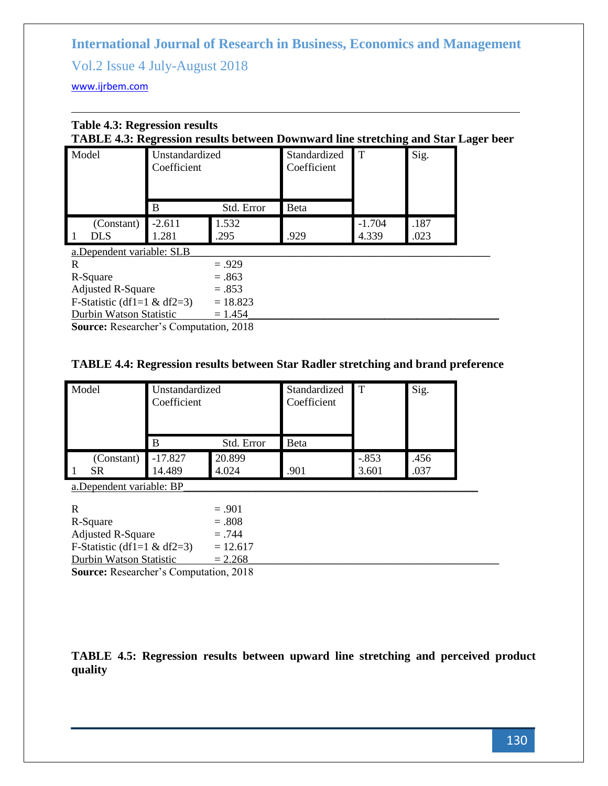Vol.2 Issue 4 July-August 2018

<www.ijrbem.com>

# **Table 4.3: Regression results TABLE 4.3: Regression results between Downward line stretching and Star Lager beer**

| Model                                        | Unstandardized<br>Coefficient |            | Standardized<br>Coefficient | T        | Sig. |
|----------------------------------------------|-------------------------------|------------|-----------------------------|----------|------|
|                                              | B                             | Std. Error | Beta                        |          |      |
| (Constant)                                   | $-2.611$                      | 1.532      |                             | $-1.704$ | .187 |
| <b>DLS</b>                                   | 1.281                         | .295       | .929                        | 4.339    | .023 |
| a.Dependent variable: SLB                    |                               |            |                             |          |      |
| R                                            |                               | $=.929$    |                             |          |      |
| R-Square                                     |                               | $=.863$    |                             |          |      |
| <b>Adjusted R-Square</b>                     |                               | $=.853$    |                             |          |      |
| F-Statistic (df1=1 $\&$ df2=3)<br>$= 18.823$ |                               |            |                             |          |      |
| Durbin Watson Statistic                      |                               | $= 1.454$  |                             |          |      |

**Source:** Researcher's Computation, 2018

# **TABLE 4.4: Regression results between Star Radler stretching and brand preference**

| Model                     | Unstandardized<br>Coefficient |            | Standardized<br>Coefficient |         | Sig. |
|---------------------------|-------------------------------|------------|-----------------------------|---------|------|
|                           | B                             | Std. Error | Beta                        |         |      |
| (Constant)                | $-17.827$                     | 20.899     |                             | $-.853$ | .456 |
| <b>SR</b>                 | 14.489                        | 4.024      | .901                        | 3.601   | .037 |
| a. Dependent variable: BP |                               |            |                             |         |      |

| R                                 | $=.901$    |  |
|-----------------------------------|------------|--|
| R-Square                          | $=.808$    |  |
| <b>Adjusted R-Square</b>          | $=.744$    |  |
| F-Statistic (df1=1 & df2=3)       | $= 12.617$ |  |
| Durbin Watson Statistic           | $= 2.268$  |  |
| $\sim$<br>$\mathbf n$ $\mathbf n$ | $\bigcap$  |  |

**Source:** Researcher's Computation, 2018

**TABLE 4.5: Regression results between upward line stretching and perceived product quality**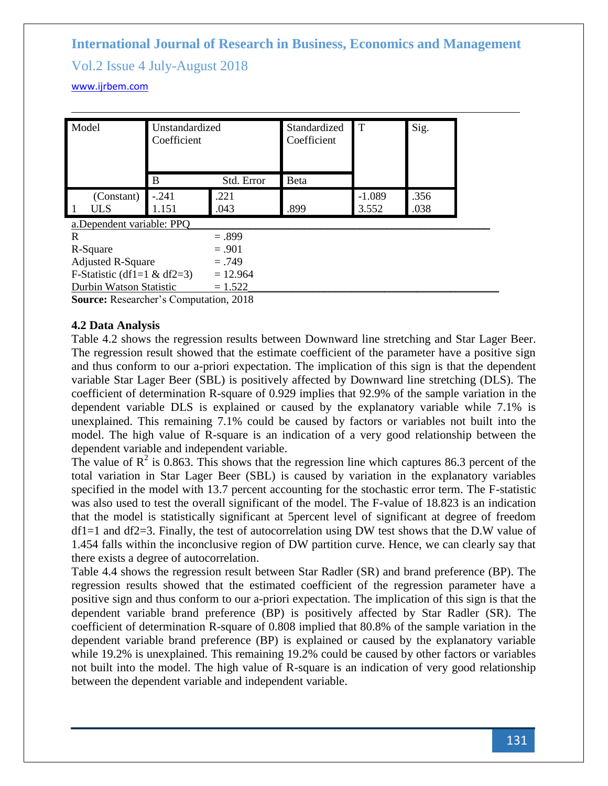# Vol.2 Issue 4 July-August 2018

#### <www.ijrbem.com>

| Model                          | Unstandardized<br>Coefficient |              | Standardized<br>Coefficient | T                 | Sig.         |
|--------------------------------|-------------------------------|--------------|-----------------------------|-------------------|--------------|
|                                | B                             | Std. Error   | <b>B</b> eta                |                   |              |
| (Constant)<br>ULS<br>1         | $-.241$<br>1.151              | .221<br>.043 | .899                        | $-1.089$<br>3.552 | .356<br>.038 |
| a. Dependent variable: PPQ     |                               |              |                             |                   |              |
| R                              |                               | $=.899$      |                             |                   |              |
| R-Square                       |                               | $=.901$      |                             |                   |              |
| <b>Adjusted R-Square</b>       |                               | $=.749$      |                             |                   |              |
| F-Statistic (df1=1 $\&$ df2=3) |                               | $= 12.964$   |                             |                   |              |
| Durbin Watson Statistic        |                               | $= 1.522$    |                             |                   |              |
|                                |                               |              |                             |                   |              |

**Source:** Researcher's Computation, 2018

#### **4.2 Data Analysis**

Table 4.2 shows the regression results between Downward line stretching and Star Lager Beer. The regression result showed that the estimate coefficient of the parameter have a positive sign and thus conform to our a-priori expectation. The implication of this sign is that the dependent variable Star Lager Beer (SBL) is positively affected by Downward line stretching (DLS). The coefficient of determination R-square of 0.929 implies that 92.9% of the sample variation in the dependent variable DLS is explained or caused by the explanatory variable while 7.1% is unexplained. This remaining 7.1% could be caused by factors or variables not built into the model. The high value of R-square is an indication of a very good relationship between the dependent variable and independent variable.

The value of  $\mathbb{R}^2$  is 0.863. This shows that the regression line which captures 86.3 percent of the total variation in Star Lager Beer (SBL) is caused by variation in the explanatory variables specified in the model with 13.7 percent accounting for the stochastic error term. The F-statistic was also used to test the overall significant of the model. The F-value of 18.823 is an indication that the model is statistically significant at 5percent level of significant at degree of freedom  $df1=1$  and  $df2=3$ . Finally, the test of autocorrelation using DW test shows that the D.W value of 1.454 falls within the inconclusive region of DW partition curve. Hence, we can clearly say that there exists a degree of autocorrelation.

Table 4.4 shows the regression result between Star Radler (SR) and brand preference (BP). The regression results showed that the estimated coefficient of the regression parameter have a positive sign and thus conform to our a-priori expectation. The implication of this sign is that the dependent variable brand preference (BP) is positively affected by Star Radler (SR). The coefficient of determination R-square of 0.808 implied that 80.8% of the sample variation in the dependent variable brand preference (BP) is explained or caused by the explanatory variable while 19.2% is unexplained. This remaining 19.2% could be caused by other factors or variables not built into the model. The high value of R-square is an indication of very good relationship between the dependent variable and independent variable.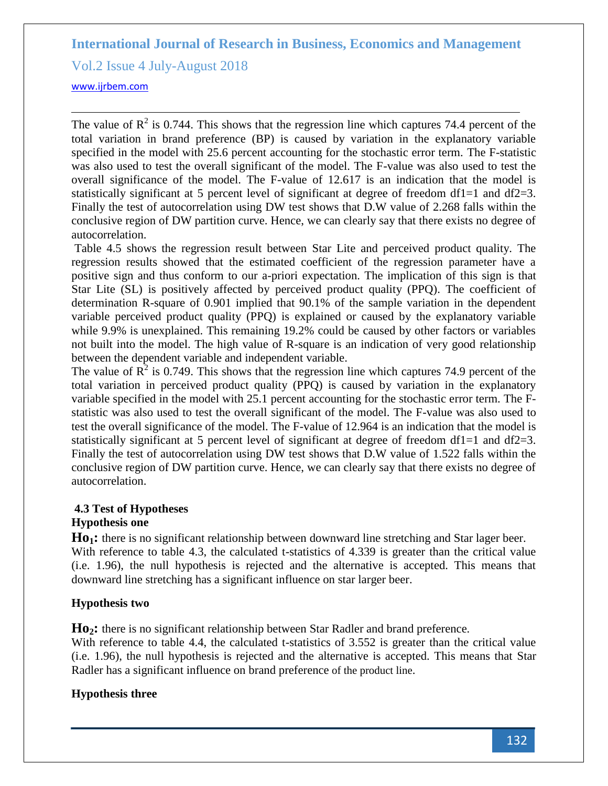Vol.2 Issue 4 July-August 2018

<www.ijrbem.com>

The value of  $\mathbb{R}^2$  is 0.744. This shows that the regression line which captures 74.4 percent of the total variation in brand preference (BP) is caused by variation in the explanatory variable specified in the model with 25.6 percent accounting for the stochastic error term. The F-statistic was also used to test the overall significant of the model. The F-value was also used to test the overall significance of the model. The F-value of 12.617 is an indication that the model is statistically significant at 5 percent level of significant at degree of freedom df1=1 and df2=3. Finally the test of autocorrelation using DW test shows that D.W value of 2.268 falls within the conclusive region of DW partition curve. Hence, we can clearly say that there exists no degree of autocorrelation.

Table 4.5 shows the regression result between Star Lite and perceived product quality. The regression results showed that the estimated coefficient of the regression parameter have a positive sign and thus conform to our a-priori expectation. The implication of this sign is that Star Lite (SL) is positively affected by perceived product quality (PPQ). The coefficient of determination R-square of 0.901 implied that 90.1% of the sample variation in the dependent variable perceived product quality (PPQ) is explained or caused by the explanatory variable while 9.9% is unexplained. This remaining 19.2% could be caused by other factors or variables not built into the model. The high value of R-square is an indication of very good relationship between the dependent variable and independent variable.

The value of  $\mathbb{R}^2$  is 0.749. This shows that the regression line which captures 74.9 percent of the total variation in perceived product quality (PPQ) is caused by variation in the explanatory variable specified in the model with 25.1 percent accounting for the stochastic error term. The Fstatistic was also used to test the overall significant of the model. The F-value was also used to test the overall significance of the model. The F-value of 12.964 is an indication that the model is statistically significant at 5 percent level of significant at degree of freedom df1=1 and df2=3. Finally the test of autocorrelation using DW test shows that D.W value of 1.522 falls within the conclusive region of DW partition curve. Hence, we can clearly say that there exists no degree of autocorrelation.

# **4.3 Test of Hypotheses**

# **Hypothesis one**

**Ho1:** there is no significant relationship between downward line stretching and Star lager beer. With reference to table 4.3, the calculated t-statistics of 4.339 is greater than the critical value (i.e. 1.96), the null hypothesis is rejected and the alternative is accepted. This means that downward line stretching has a significant influence on star larger beer.

# **Hypothesis two**

**Ho2:** there is no significant relationship between Star Radler and brand preference*.*

With reference to table 4.4, the calculated t-statistics of 3.552 is greater than the critical value (i.e. 1.96), the null hypothesis is rejected and the alternative is accepted. This means that Star Radler has a significant influence on brand preference of the product line.

# **Hypothesis three**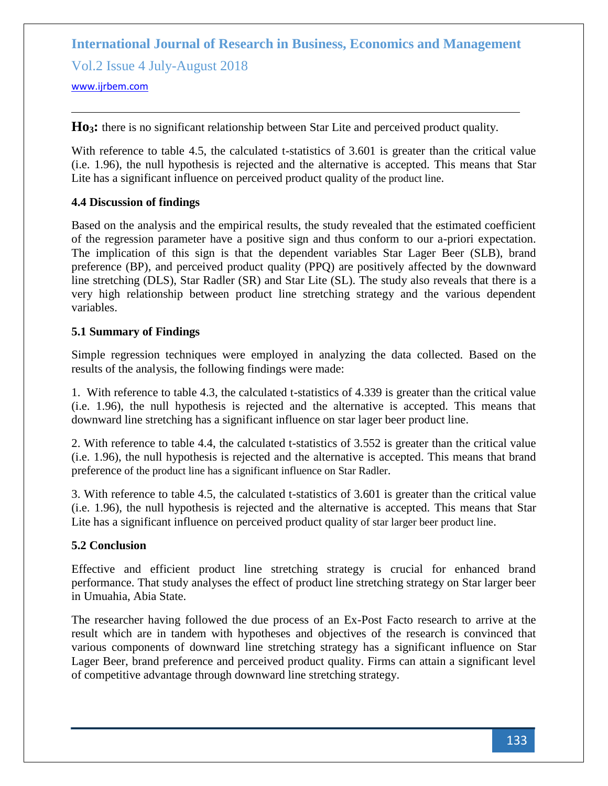Vol.2 Issue 4 July-August 2018

<www.ijrbem.com>

Ho<sub>3</sub>: there is no significant relationship between Star Lite and perceived product quality.

With reference to table 4.5, the calculated t-statistics of 3.601 is greater than the critical value (i.e. 1.96), the null hypothesis is rejected and the alternative is accepted. This means that Star Lite has a significant influence on perceived product quality of the product line.

# **4.4 Discussion of findings**

Based on the analysis and the empirical results, the study revealed that the estimated coefficient of the regression parameter have a positive sign and thus conform to our a-priori expectation. The implication of this sign is that the dependent variables Star Lager Beer (SLB), brand preference (BP), and perceived product quality (PPQ) are positively affected by the downward line stretching (DLS), Star Radler (SR) and Star Lite (SL). The study also reveals that there is a very high relationship between product line stretching strategy and the various dependent variables.

#### **5.1 Summary of Findings**

Simple regression techniques were employed in analyzing the data collected. Based on the results of the analysis, the following findings were made:

1. With reference to table 4.3, the calculated t-statistics of 4.339 is greater than the critical value (i.e. 1.96), the null hypothesis is rejected and the alternative is accepted. This means that downward line stretching has a significant influence on star lager beer product line.

2. With reference to table 4.4, the calculated t-statistics of 3.552 is greater than the critical value (i.e. 1.96), the null hypothesis is rejected and the alternative is accepted. This means that brand preference of the product line has a significant influence on Star Radler.

3. With reference to table 4.5, the calculated t-statistics of 3.601 is greater than the critical value (i.e. 1.96), the null hypothesis is rejected and the alternative is accepted. This means that Star Lite has a significant influence on perceived product quality of star larger beer product line.

# **5.2 Conclusion**

Effective and efficient product line stretching strategy is crucial for enhanced brand performance. That study analyses the effect of product line stretching strategy on Star larger beer in Umuahia, Abia State.

The researcher having followed the due process of an Ex-Post Facto research to arrive at the result which are in tandem with hypotheses and objectives of the research is convinced that various components of downward line stretching strategy has a significant influence on Star Lager Beer, brand preference and perceived product quality. Firms can attain a significant level of competitive advantage through downward line stretching strategy.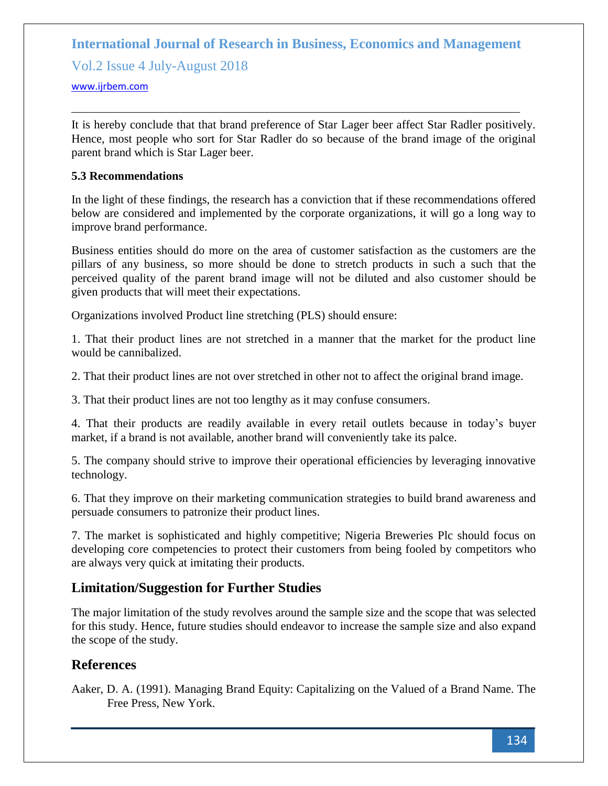Vol.2 Issue 4 July-August 2018

<www.ijrbem.com>

It is hereby conclude that that brand preference of Star Lager beer affect Star Radler positively. Hence, most people who sort for Star Radler do so because of the brand image of the original parent brand which is Star Lager beer.

#### **5.3 Recommendations**

In the light of these findings, the research has a conviction that if these recommendations offered below are considered and implemented by the corporate organizations, it will go a long way to improve brand performance.

Business entities should do more on the area of customer satisfaction as the customers are the pillars of any business, so more should be done to stretch products in such a such that the perceived quality of the parent brand image will not be diluted and also customer should be given products that will meet their expectations.

Organizations involved Product line stretching (PLS) should ensure:

1. That their product lines are not stretched in a manner that the market for the product line would be cannibalized.

2. That their product lines are not over stretched in other not to affect the original brand image.

3. That their product lines are not too lengthy as it may confuse consumers.

4. That their products are readily available in every retail outlets because in today's buyer market, if a brand is not available, another brand will conveniently take its palce.

5. The company should strive to improve their operational efficiencies by leveraging innovative technology.

6. That they improve on their marketing communication strategies to build brand awareness and persuade consumers to patronize their product lines.

7. The market is sophisticated and highly competitive; Nigeria Breweries Plc should focus on developing core competencies to protect their customers from being fooled by competitors who are always very quick at imitating their products.

# **Limitation/Suggestion for Further Studies**

The major limitation of the study revolves around the sample size and the scope that was selected for this study. Hence, future studies should endeavor to increase the sample size and also expand the scope of the study.

# **References**

Aaker, D. A. (1991). Managing Brand Equity: Capitalizing on the Valued of a Brand Name. The Free Press, New York.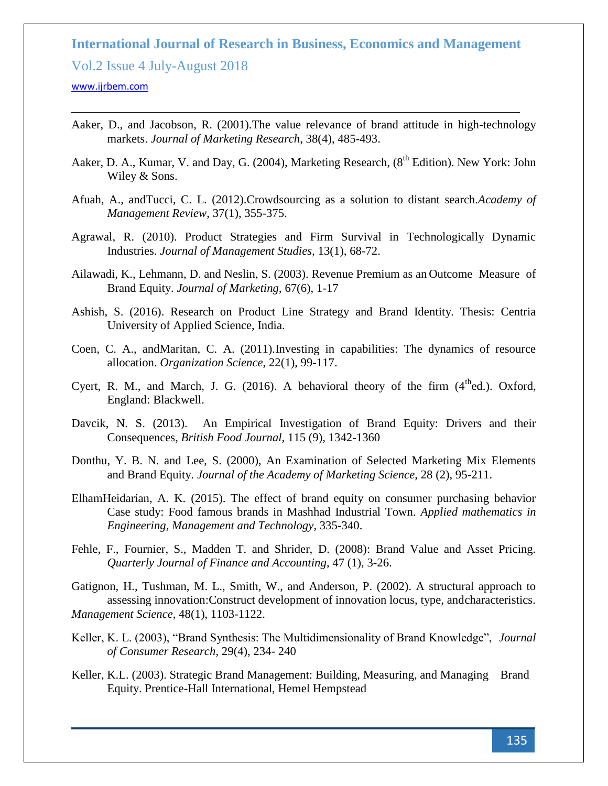Vol.2 Issue 4 July-August 2018

#### <www.ijrbem.com>

- Aaker, D., and Jacobson, R. (2001).The value relevance of brand attitude in high-technology markets. *Journal of Marketing Research*, 38(4), 485-493.
- Aaker, D. A., Kumar, V. and Day, G. (2004), Marketing Research, (8<sup>th</sup> Edition). New York: John Wiley & Sons.
- Afuah, A., andTucci, C. L. (2012).Crowdsourcing as a solution to distant search.*Academy of Management Review*, 37(1), 355-375.
- Agrawal, R. (2010). Product Strategies and Firm Survival in Technologically Dynamic Industries. *Journal of Management Studies,* 13(1), 68-72.
- Ailawadi, K., Lehmann, D. and Neslin, S. (2003). Revenue Premium as an Outcome Measure of Brand Equity. *Journal of Marketing*, 67(6), 1-17
- Ashish, S. (2016). Research on Product Line Strategy and Brand Identity. Thesis: Centria University of Applied Science, India.
- Coen, C. A., andMaritan, C. A. (2011).Investing in capabilities: The dynamics of resource allocation. *Organization Science*, 22(1), 99-117.
- Cyert, R. M., and March, J. G.  $(2016)$ . A behavioral theory of the firm  $(4<sup>th</sup>ed.)$ . Oxford, England: Blackwell.
- Davcik, N. S. (2013). An Empirical Investigation of Brand Equity: Drivers and their Consequences, *British Food Journal,* 115 (9), 1342-1360
- Donthu, Y. B. N. and Lee, S. (2000), An Examination of Selected Marketing Mix Elements and Brand Equity. *Journal of the Academy of Marketing Science*, 28 (2), 95-211.
- ElhamHeidarian, A. K. (2015). The effect of brand equity on consumer purchasing behavior Case study: Food famous brands in Mashhad Industrial Town. *Applied mathematics in Engineering, Management and Technology*, 335-340.
- Fehle, F., Fournier, S., Madden T. and Shrider, D. (2008): Brand Value and Asset Pricing. *Quarterly Journal of Finance and Accounting*, 47 (1), 3-26.
- Gatignon, H., Tushman, M. L., Smith, W., and Anderson, P. (2002). A structural approach to assessing innovation:Construct development of innovation locus, type, andcharacteristics. *Management Science*, 48(1), 1103-1122.
- Keller, K. L. (2003), "Brand Synthesis: The Multidimensionality of Brand Knowledge", *Journal of Consumer Research,* 29(4), 234- 240
- Keller, K.L. (2003). Strategic Brand Management: Building, Measuring, and Managing Brand Equity. Prentice-Hall International, Hemel Hempstead